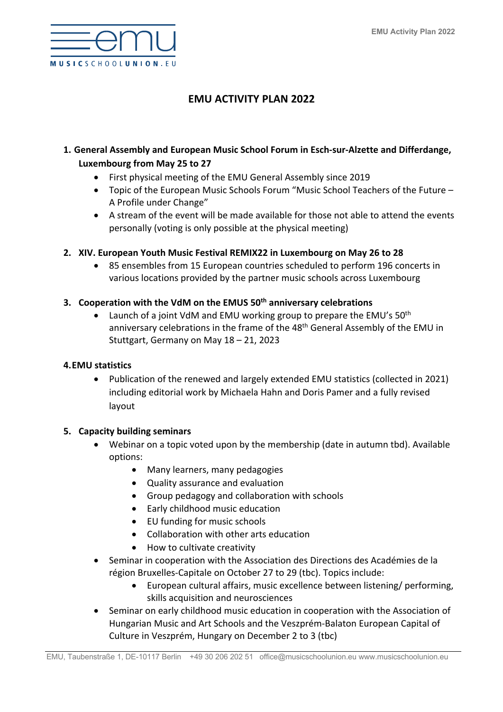

# **EMU ACTIVITY PLAN 2022**

# **1. General Assembly and European Music School Forum in Esch-sur-Alzette and Differdange, Luxembourg from May 25 to 27**

- First physical meeting of the EMU General Assembly since 2019
- Topic of the European Music Schools Forum "Music School Teachers of the Future A Profile under Change"
- A stream of the event will be made available for those not able to attend the events personally (voting is only possible at the physical meeting)

### **2. XIV. European Youth Music Festival REMIX22 in Luxembourg on May 26 to 28**

• 85 ensembles from 15 European countries scheduled to perform 196 concerts in various locations provided by the partner music schools across Luxembourg

#### **3. Cooperation with the VdM on the EMUS 50th anniversary celebrations**

Launch of a joint VdM and EMU working group to prepare the EMU's 50<sup>th</sup> anniversary celebrations in the frame of the 48<sup>th</sup> General Assembly of the EMU in Stuttgart, Germany on May 18 – 21, 2023

#### **4.EMU statistics**

• Publication of the renewed and largely extended EMU statistics (collected in 2021) including editorial work by Michaela Hahn and Doris Pamer and a fully revised layout

#### **5. Capacity building seminars**

- Webinar on a topic voted upon by the membership (date in autumn tbd). Available options:
	- Many learners, many pedagogies
	- Quality assurance and evaluation
	- Group pedagogy and collaboration with schools
	- Early childhood music education
	- EU funding for music schools
	- Collaboration with other arts education
	- How to cultivate creativity
- Seminar in cooperation with the Association des Directions des Académies de la région Bruxelles-Capitale on October 27 to 29 (tbc). Topics include:
	- European cultural affairs, music excellence between listening/ performing, skills acquisition and neurosciences
- Seminar on early childhood music education in cooperation with the Association of Hungarian Music and Art Schools and the Veszprém-Balaton European Capital of Culture in Veszprém, Hungary on December 2 to 3 (tbc)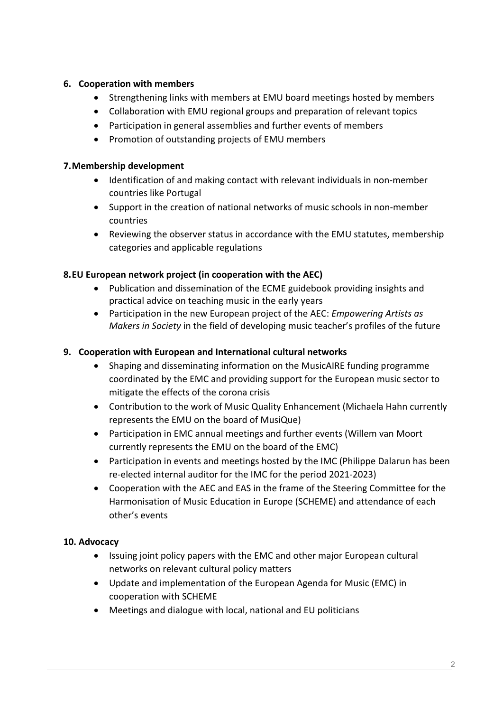# **6. Cooperation with members**

- Strengthening links with members at EMU board meetings hosted by members
- Collaboration with EMU regional groups and preparation of relevant topics
- Participation in general assemblies and further events of members
- Promotion of outstanding projects of EMU members

### **7.Membership development**

- Identification of and making contact with relevant individuals in non-member countries like Portugal
- Support in the creation of national networks of music schools in non-member countries
- Reviewing the observer status in accordance with the EMU statutes, membership categories and applicable regulations

# **8.EU European network project (in cooperation with the AEC)**

- Publication and dissemination of the ECME guidebook providing insights and practical advice on teaching music in the early years
- Participation in the new European project of the AEC: *Empowering Artists as Makers in Society* in the field of developing music teacher's profiles of the future

## **9. Cooperation with European and International cultural networks**

- Shaping and disseminating information on the MusicAIRE funding programme coordinated by the EMC and providing support for the European music sector to mitigate the effects of the corona crisis
- Contribution to the work of Music Quality Enhancement (Michaela Hahn currently represents the EMU on the board of MusiQue)
- Participation in EMC annual meetings and further events (Willem van Moort currently represents the EMU on the board of the EMC)
- Participation in events and meetings hosted by the IMC (Philippe Dalarun has been re-elected internal auditor for the IMC for the period 2021-2023)
- Cooperation with the AEC and EAS in the frame of the Steering Committee for the Harmonisation of Music Education in Europe (SCHEME) and attendance of each other's events

### **10. Advocacy**

- Issuing joint policy papers with the EMC and other major European cultural networks on relevant cultural policy matters
- Update and implementation of the European Agenda for Music (EMC) in cooperation with SCHEME
- Meetings and dialogue with local, national and EU politicians